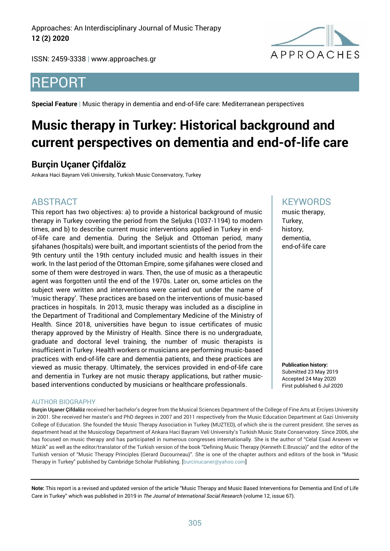Approaches: An Interdisciplinary Journal of Music Therapy **12 (2) 2020**

ISSN: 2459-3338 | [www.approaches.gr](http://approaches.gr/)



# REPORT

**Special Feature |** Music therapy in dementia and end-of-life care: Mediterranean perspectives

# **Music therapy in Turkey: Historical background and current perspectives on dementia and end-of-life care**

### **Burçin Uçaner Çifdalöz**

Ankara Haci Bayram Veli University, Turkish Music Conservatory, Turkey

### ABSTRACT

This report has two objectives: a) to provide a historical background of music therapy in Turkey covering the period from the Seljuks (1037-1194) to modern times, and b) to describe current music interventions applied in Turkey in endof-life care and dementia. During the Seljuk and Ottoman period, many şifahanes (hospitals) were built, and important scientists of the period from the 9th century until the 19th century included music and health issues in their work. In the last period of the Ottoman Empire, some şifahanes were closed and some of them were destroyed in wars. Then, the use of music as a therapeutic agent was forgotten until the end of the 1970s. Later on, some articles on the subject were written and interventions were carried out under the name of 'music therapy'. These practices are based on the interventions of music-based practices in hospitals. In 2013, music therapy was included as a discipline in the Department of Traditional and Complementary Medicine of the Ministry of Health. Since 2018, universities have begun to issue certificates of music therapy approved by the Ministry of Health. Since there is no undergraduate, graduate and doctoral level training, the number of music therapists is insufficient in Turkey. Health workers or musicians are performing music-based practices with end-of-life care and dementia patients, and these practices are viewed as music therapy. Ultimately, the services provided in end-of-life care and dementia in Turkey are not music therapy applications, but rather musicbased interventions conducted by musicians or healthcare professionals.

#### AUTHOR BIOGRAPHY

**Burçin Uçaner Çifdalöz** received her bachelor's degree from the Musical Sciences Department of the College of Fine Arts at Erciyes University in 2001. She received her master's and PhD degrees in 2007 and 2011 respectively from the Music Education Department at Gazi University College of Education. She founded the Music Therapy Association in Turkey (MUZTED), of which she is the current president. She serves as department head at the Musicology Department of Ankara Haci Bayram Veli University's Turkish Music State Conservatory. Since 2006, she has focused on music therapy and has participated in numerous congresses internationally. She is the author of "Celal Esad Arseven ve Müzik" as well as the editor/translator of the Turkish version of the book "Defining Music Therapy (Kenneth E.Bruscia)" and the editor of the Turkish version of "Music Therapy Principles (Gerard Ducourneau)". She is one of the chapter authors and editors of the book in "Music Therapy in Turkey" published by Cambridge Scholar Publishing. [burcinucaner@yahoo.com]

**Note:** This report is a revised and updated version of the article "Music Therapy and Music Based Interventions for Dementia and End of Life Care in Turkey" which was published in 2019 in *The Journal of International Social Research* (volume 12, issue 67).

#### **KEYWORDS**

music therapy, Turkey, history, dementia, end-of-life care

**Publication history:**  Submitted 23 May 2019 Accepted 24 May 2020 First published 6 Jul 2020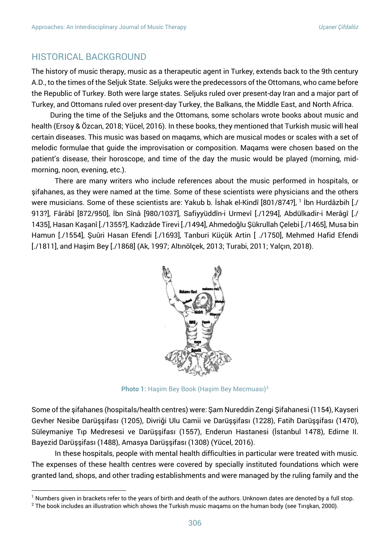#### HISTORICAL BACKGROUND

The history of music therapy, music as a therapeutic agent in Turkey, extends back to the 9th century A.D., to the times of the Seljuk State. Seljuks were the predecessors of the Ottomans, who came before the Republic of Turkey. Both were large states. Seljuks ruled over present-day Iran and a major part of Turkey, and Ottomans ruled over present-day Turkey, the Balkans, the Middle East, and North Africa.

During the time of the Seljuks and the Ottomans, some scholars wrote books about music and health (Ersoy & Özcan, 2018; Yücel, 2016). In these books, they mentioned that Turkish music will heal certain diseases. This music was based on maqams, which are musical modes or scales with a set of melodic formulae that guide the improvisation or composition. Maqams were chosen based on the patient's disease, their horoscope, and time of the day the music would be played (morning, midmorning, noon, evening, etc.).

There are many writers who include references about the music performed in hospitals, or şifahanes, as they were named at the time. Some of these scientists were physicians and the others were musicians. Some of these scientists are: Yakub b. İshak el-Kindî [801/874?], 1 İbn Hurdâzbih [./ 913?], Fârâbî [872/950], İbn Sînâ [980/1037], Safiyyüddîn-i Urmevî [./1294], Abdülkadir-i Merâgî [./ 1435], Hasan Kaşanî [./1355?], Kadızâde Tirevi [./1494], Ahmedoğlu Şükrullah Çelebi [./1465], Musa bin Hamun [./1554], Şuûri Hasan Efendi [./1693], Tanburi Küçük Artin [ ./1750], Mehmed Hafid Efendi [./1811], and Haşim Bey [./1868] (Ak, 1997; Altınölçek, 2013; Turabi, 2011; Yalçın, 2018).



**Photo 1:** Haşim Bey Book (Haşim Bey Mecmuası)<sup>2</sup>

Some of the şifahanes (hospitals/health centres) were: Şam Nureddin Zengi Şifahanesi (1154), Kayseri Gevher Nesibe Darüşşifası (1205), Divriği Ulu Camii ve Darüşşifası (1228), Fatih Darüşşifası (1470), Süleymaniye Tıp Medresesi ve Darüşşifası (1557), Enderun Hastanesi (İstanbul 1478), Edirne II. Bayezid Darüşşifası (1488), Amasya Darüşşifası (1308) (Yücel, 2016).

In these hospitals, people with mental health difficulties in particular were treated with music. The expenses of these health centres were covered by specially instituted foundations which were granted land, shops, and other trading establishments and were managed by the ruling family and the

 $1$  Numbers given in brackets refer to the years of birth and death of the authors. Unknown dates are denoted by a full stop.

 $2$  The book includes an illustration which shows the Turkish music maqams on the human body (see Tırışkan, 2000).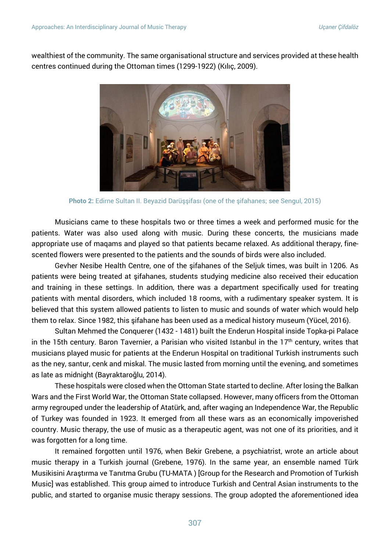wealthiest of the community. The same organisational structure and services provided at these health centres continued during the Ottoman times (1299-1922) (Kılıç, 2009).



**Photo 2:** Edirne Sultan II. Beyazid Darüşşifası (one of the şifahanes; see Sengul, 2015)

Musicians came to these hospitals two or three times a week and performed music for the patients. Water was also used along with music. During these concerts, the musicians made appropriate use of maqams and played so that patients became relaxed. As additional therapy, finescented flowers were presented to the patients and the sounds of birds were also included.

Gevher Nesibe Health Centre, one of the şifahanes of the Seljuk times, was built in 1206. As patients were being treated at şifahanes, students studying medicine also received their education and training in these settings. In addition, there was a department specifically used for treating patients with mental disorders, which included 18 rooms, with a rudimentary speaker system. It is believed that this system allowed patients to listen to music and sounds of water which would help them to relax. Since 1982, this şifahane has been used as a medical history museum (Yücel, 2016).

Sultan Mehmed the Conquerer (1432 - 1481) built the Enderun Hospital inside Topka-pi Palace in the 15th century. Baron Tavernier, a Parisian who visited Istanbul in the  $17<sup>th</sup>$  century, writes that musicians played music for patients at the Enderun Hospital on traditional Turkish instruments such as the ney, santur, cenk and miskal. The music lasted from morning until the evening, and sometimes as late as midnight (Bayraktaroğlu, 2014).

These hospitals were closed when the Ottoman State started to decline. After losing the Balkan Wars and the First World War, the Ottoman State collapsed. However, many officers from the Ottoman army regrouped under the leadership of Atatürk, and, after waging an Independence War, the Republic of Turkey was founded in 1923. It emerged from all these wars as an economically impoverished country. Music therapy, the use of music as a therapeutic agent, was not one of its priorities, and it was forgotten for a long time.

It remained forgotten until 1976, when Bekir Grebene, a psychiatrist, wrote an article about music therapy in a Turkish journal (Grebene, 1976). In the same year, an ensemble named Türk Musikisini Araştırma ve Tanıtma Grubu (TU-MATA ) [Group for the Research and Promotion of Turkish Music] was established. This group aimed to introduce Turkish and Central Asian instruments to the public, and started to organise music therapy sessions. The group adopted the aforementioned idea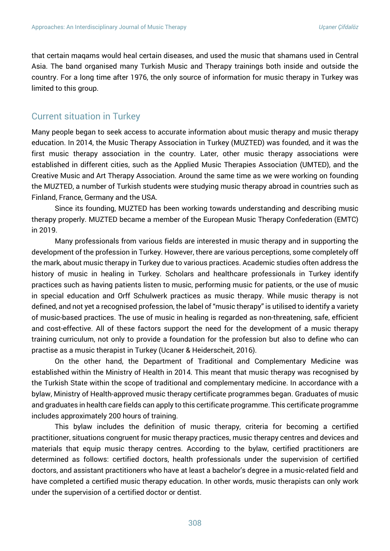that certain maqams would heal certain diseases, and used the music that shamans used in Central Asia. The band organised many Turkish Music and Therapy trainings both inside and outside the country. For a long time after 1976, the only source of information for music therapy in Turkey was limited to this group.

#### Current situation in Turkey

Many people began to seek access to accurate information about music therapy and music therapy education. In 2014, the Music Therapy Association in Turkey (MUZTED) was founded, and it was the first music therapy association in the country. Later, other music therapy associations were established in different cities, such as the Applied Music Therapies Association (UMTED), and the Creative Music and Art Therapy Association. Around the same time as we were working on founding the MUZTED, a number of Turkish students were studying music therapy abroad in countries such as Finland, France, Germany and the USA.

Since its founding, MUZTED has been working towards understanding and describing music therapy properly. MUZTED became a member of the European Music Therapy Confederation (EMTC) in 2019.

Many professionals from various fields are interested in music therapy and in supporting the development of the profession in Turkey. However, there are various perceptions, some completely off the mark, about music therapy in Turkey due to various practices. Academic studies often address the history of music in healing in Turkey. Scholars and healthcare professionals in Turkey identify practices such as having patients listen to music, performing music for patients, or the use of music in special education and Orff Schulwerk practices as music therapy. While music therapy is not defined, and not yet a recognised profession, the label of "music therapy" is utilised to identify a variety of music-based practices. The use of music in healing is regarded as non-threatening, safe, efficient and cost-effective. All of these factors support the need for the development of a music therapy training curriculum, not only to provide a foundation for the profession but also to define who can practise as a music therapist in Turkey (Ucaner & Heiderscheit, 2016).

On the other hand, the Department of Traditional and Complementary Medicine was established within the Ministry of Health in 2014. This meant that music therapy was recognised by the Turkish State within the scope of traditional and complementary medicine. In accordance with a bylaw, Ministry of Health-approved music therapy certificate programmes began. Graduates of music and graduates in health care fields can apply to this certificate programme. This certificate programme includes approximately 200 hours of training.

This bylaw includes the definition of music therapy, criteria for becoming a certified practitioner, situations congruent for music therapy practices, music therapy centres and devices and materials that equip music therapy centres. According to the bylaw, certified practitioners are determined as follows: certified doctors, health professionals under the supervision of certified doctors, and assistant practitioners who have at least a bachelor's degree in a music-related field and have completed a certified music therapy education. In other words, music therapists can only work under the supervision of a certified doctor or dentist.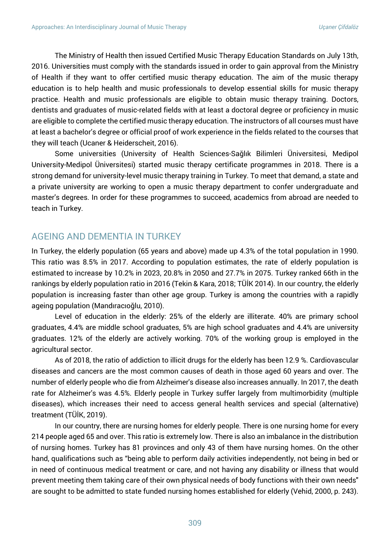The Ministry of Health then issued Certified Music Therapy Education Standards on July 13th, 2016. Universities must comply with the standards issued in order to gain approval from the Ministry of Health if they want to offer certified music therapy education. The aim of the music therapy education is to help health and music professionals to develop essential skills for music therapy practice. Health and music professionals are eligible to obtain music therapy training. Doctors, dentists and graduates of music-related fields with at least a doctoral degree or proficiency in music are eligible to complete the certified music therapy education. The instructors of all courses must have at least a bachelor's degree or official proof of work experience in the fields related to the courses that they will teach (Ucaner & Heiderscheit, 2016).

Some universities (University of Health Sciences-Sağlık Bilimleri Üniversitesi, Medipol University-Medipol Üniversitesi) started music therapy certificate programmes in 2018. There is a strong demand for university-level music therapy training in Turkey. To meet that demand, a state and a private university are working to open a music therapy department to confer undergraduate and master's degrees. In order for these programmes to succeed, academics from abroad are needed to teach in Turkey.

#### AGEING AND DEMENTIA IN TURKEY

In Turkey, the elderly population (65 years and above) made up 4.3% of the total population in 1990. This ratio was 8.5% in 2017. According to population estimates, the rate of elderly population is estimated to increase by 10.2% in 2023, 20.8% in 2050 and 27.7% in 2075. Turkey ranked 66th in the rankings by elderly population ratio in 2016 (Tekin & Kara, 2018; TÜİK 2014). In our country, the elderly population is increasing faster than other age group. Turkey is among the countries with a rapidly ageing population (Mandıracıoğlu, 2010).

Level of education in the elderly: 25% of the elderly are illiterate. 40% are primary school graduates, 4.4% are middle school graduates, 5% are high school graduates and 4.4% are university graduates. 12% of the elderly are actively working. 70% of the working group is employed in the agricultural sector.

As of 2018, the ratio of addiction to illicit drugs for the elderly has been 12.9 %. Cardiovascular diseases and cancers are the most common causes of death in those aged 60 years and over. The number of elderly people who die from Alzheimer's disease also increases annually. In 2017, the death rate for Alzheimer's was 4.5%. Elderly people in Turkey suffer largely from multimorbidity (multiple diseases), which increases their need to access general health services and special (alternative) treatment (TÜİK, 2019).

In our country, there are nursing homes for elderly people. There is one nursing home for every 214 people aged 65 and over. This ratio is extremely low. There is also an imbalance in the distribution of nursing homes. Turkey has 81 provinces and only 43 of them have nursing homes. On the other hand, qualifications such as "being able to perform daily activities independently, not being in bed or in need of continuous medical treatment or care, and not having any disability or illness that would prevent meeting them taking care of their own physical needs of body functions with their own needs" are sought to be admitted to state funded nursing homes established for elderly (Vehid, 2000, p. 243).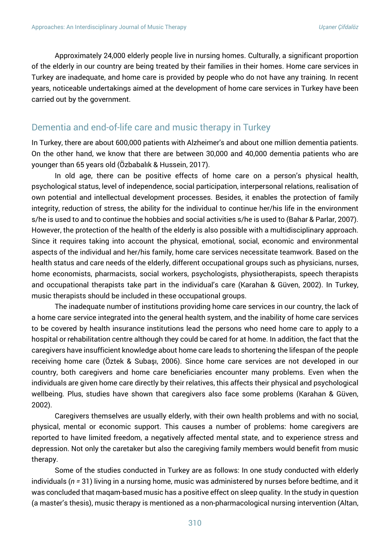Approximately 24,000 elderly people live in nursing homes. Culturally, a significant proportion of the elderly in our country are being treated by their families in their homes. Home care services in Turkey are inadequate, and home care is provided by people who do not have any training. In recent years, noticeable undertakings aimed at the development of home care services in Turkey have been carried out by the government.

#### Dementia and end-of-life care and music therapy in Turkey

In Turkey, there are about 600,000 patients with Alzheimer's and about one million dementia patients. On the other hand, we know that there are between 30,000 and 40,000 dementia patients who are younger than 65 years old (Özbabalık & Hussein, 2017).

In old age, there can be positive effects of home care on a person's physical health, psychological status, level of independence, social participation, interpersonal relations, realisation of own potential and intellectual development processes. Besides, it enables the protection of family integrity, reduction of stress, the ability for the individual to continue her/his life in the environment s/he is used to and to continue the hobbies and social activities s/he is used to (Bahar & Parlar, 2007). However, the protection of the health of the elderly is also possible with a multidisciplinary approach. Since it requires taking into account the physical, emotional, social, economic and environmental aspects of the individual and her/his family, home care services necessitate teamwork. Based on the health status and care needs of the elderly, different occupational groups such as physicians, nurses, home economists, pharmacists, social workers, psychologists, physiotherapists, speech therapists and occupational therapists take part in the individual's care (Karahan & Güven, 2002). In Turkey, music therapists should be included in these occupational groups.

The inadequate number of institutions providing home care services in our country, the lack of a home care service integrated into the general health system, and the inability of home care services to be covered by health insurance institutions lead the persons who need home care to apply to a hospital or rehabilitation centre although they could be cared for at home. In addition, the fact that the caregivers have insufficient knowledge about home care leads to shortening the lifespan of the people receiving home care (Öztek & Subaşı, 2006). Since home care services are not developed in our country, both caregivers and home care beneficiaries encounter many problems. Even when the individuals are given home care directly by their relatives, this affects their physical and psychological wellbeing. Plus, studies have shown that caregivers also face some problems (Karahan & Güven, 2002).

Caregivers themselves are usually elderly, with their own health problems and with no social, physical, mental or economic support. This causes a number of problems: home caregivers are reported to have limited freedom, a negatively affected mental state, and to experience stress and depression. Not only the caretaker but also the caregiving family members would benefit from music therapy.

Some of the studies conducted in Turkey are as follows: In one study conducted with elderly individuals (*n =* 31) living in a nursing home, music was administered by nurses before bedtime, and it was concluded that maqam-based music has a positive effect on sleep quality. In the study in question (a master's thesis), music therapy is mentioned as a non-pharmacological nursing intervention (Altan,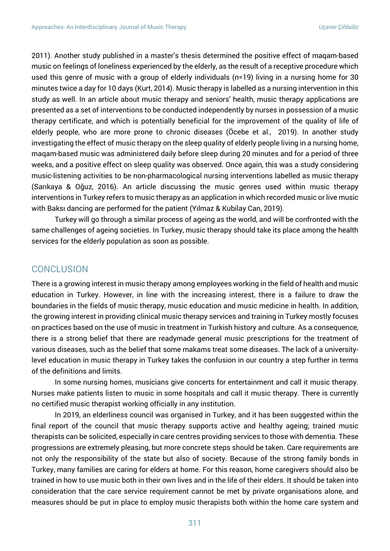2011). Another study published in a master's thesis determined the positive effect of maqam-based music on feelings of loneliness experienced by the elderly, as the result of a receptive procedure which used this genre of music with a group of elderly individuals (n=19) living in a nursing home for 30 minutes twice a day for 10 days (Kurt, 2014). Music therapy is labelled as a nursing intervention in this study as well. In an article about music therapy and seniors' health, music therapy applications are presented as a set of interventions to be conducted independently by nurses in possession of a music therapy certificate, and which is potentially beneficial for the improvement of the quality of life of elderly people, who are more prone to chronic diseases (Öcebe et al., 2019). In another study investigating the effect of music therapy on the sleep quality of elderly people living in a nursing home, maqam-based music was administered daily before sleep during 20 minutes and for a period of three weeks, and a positive effect on sleep quality was observed. Once again, this was a study considering music-listening activities to be non-pharmacological nursing interventions labelled as music therapy (Sarıkaya & Oğuz, 2016). An article discussing the music genres used within music therapy interventions in Turkey refers to music therapy as an application in which recorded music or live music with Baksı dancing are performed for the patient (Yılmaz & Kubilay Can, 2019).

Turkey will go through a similar process of ageing as the world, and will be confronted with the same challenges of ageing societies. In Turkey, music therapy should take its place among the health services for the elderly population as soon as possible.

#### **CONCLUSION**

There is a growing interest in music therapy among employees working in the field of health and music education in Turkey. However, in line with the increasing interest, there is a failure to draw the boundaries in the fields of music therapy, music education and music medicine in health. In addition, the growing interest in providing clinical music therapy services and training in Turkey mostly focuses on practices based on the use of music in treatment in Turkish history and culture. As a consequence, there is a strong belief that there are readymade general music prescriptions for the treatment of various diseases, such as the belief that some makams treat some diseases. The lack of a universitylevel education in music therapy in Turkey takes the confusion in our country a step further in terms of the definitions and limits.

In some nursing homes, musicians give concerts for entertainment and call it music therapy. Nurses make patients listen to music in some hospitals and call it music therapy. There is currently no certified music therapist working officially in any institution.

In 2019, an elderliness council was organised in Turkey, and it has been suggested within the final report of the council that music therapy supports active and healthy ageing; trained music therapists can be solicited, especially in care centres providing services to those with dementia. These progressions are extremely pleasing, but more concrete steps should be taken. Care requirements are not only the responsibility of the state but also of society. Because of the strong family bonds in Turkey, many families are caring for elders at home. For this reason, home caregivers should also be trained in how to use music both in their own lives and in the life of their elders. It should be taken into consideration that the care service requirement cannot be met by private organisations alone, and measures should be put in place to employ music therapists both within the home care system and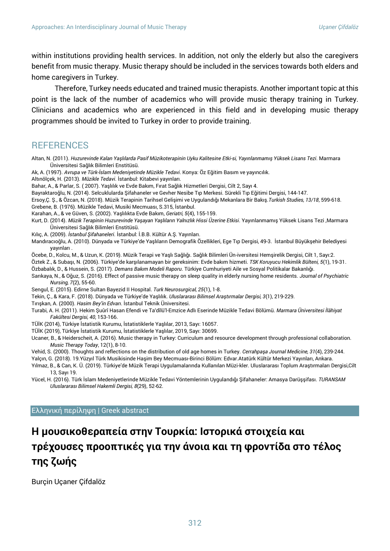within institutions providing health services. In addition, not only the elderly but also the caregivers benefit from music therapy. Music therapy should be included in the services towards both elders and home caregivers in Turkey.

Therefore, Turkey needs educated and trained music therapists. Another important topic at this point is the lack of the number of academics who will provide music therapy training in Turkey. Clinicians and academics who are experienced in this field and in developing music therapy programmes should be invited to Turkey in order to provide training.

#### **REFERENCES**

Altan, N. (2011). *Huzurevinde Kalan Yaşlılarda Pasif Müzikoterapinin Uyku Kalitesine Etki-si, Yayınlanmamış Yüksek Lisans Tezi*. Marmara Üniversitesi Sağlık Bilimleri Enstitüsü.

Ak, A. (1997). *Avrupa ve Türk-İslam Medeniyetinde Müzikle Tedavi*. Konya: Öz Eğitim Basım ve yayıncılık.

Altınölçek, H. (2013). *Müzikle Tedavi*. İstanbul: Kitabevi yayınları.

Bahar, A., & Parlar, S. ( 2007). Yaşlılık ve Evde Bakım, Fırat Sağlık Hizmetleri Dergisi, Cilt 2, Sayı 4.

Bayraktaroğlu, N. (2014). Selcuklularda Şifahaneler ve Gevher Nesibe Tıp Merkesi. Sürekli Tıp Eğitimi Dergisi, 144-147.

Ersoy,Ç. Ş., & Özcan, N. (2018). Müzik Terapinin Tarihsel Gelişimi ve Uygulandığı Mekanlara Bir Bakış.*Turkish Studies, 13/18*, 599-618. Grebene, B. (1976). Müzikle Tedavi, Musiki Mecmuası, S.315, İstanbul.

Karahan, A., & ve Güven, S. (2002). Yaşlılıkta Evde Bakım, *Geriatri, 5*(4), 155-159.

Kurt, D. (2014). *Müzik Terapinin Huzurevinde Yaşayan Yaşlıların Yalnızlık Hissi Üzerine Etkisi*. Yayınlanmamış Yüksek Lisans Tezi ,Marmara Üniversitesi Sağlık Bilimleri Enstitüsü.

Kılıç, A. (2009). *İstanbul Şifahaneleri*. İstanbul: İ.B.B. Kültür A.Ş. Yayınları.

Mandıracıoğlu, A. (2010). Dünyada ve Türkiye'de Yaşlıların Demografik Özellikleri, Ege Tıp Dergisi, 49-3. İstanbul Büyükşehir Belediyesi yayınları .

Öcebe, D., Kolcu, M., & Uzun, K. (2019). Müzik Terapi ve Yaşlı Sağlığı. Sağlık Bilimleri Ün-iversitesi Hemşirelik Dergisi, Cilt 1, Sayı:2.

Öztek Z., & Subaşı, N. (2006). Türkiye'de karşılanamayan bir gereksinim: Evde bakım hizmeti. *TSK Koruyucu Hekimlik Bülteni, 5*(1), 19-31. Özbabalık, D., & Hussein, S. (2017). *Demans Bakım Modeli Raporu*. Türkiye Cumhuriyeti Aile ve Sosyal Politikalar Bakanlığı.

Sarıkaya, N., & Oğuz, S. (2016). Effect of passive music therapy on sleep quality in elderly nursing home residents. *Journal of Psychiatric Nursing, 7*(2), 55-60.

Sengul, E. (2015). Edirne Sultan Bayezid II Hospital. *Turk Neurosurgical, 25*(1), 1-8.

Tekin, Ç., & Kara, F. (2018). Dünyada ve Türkiye'de Yaşlılık. *Uluslararası Bilimsel Araştırmalar Dergisi, 3*(1), 219-229.

Tırışkan, A. (2000). *Hasim Bey'in Edvarı*. İstanbul Teknik Üniversitesi.

Turabi, A. H. (2011). Hekim Şuûrî Hasan Efendi ve Ta'dîlü'l-Emzice Adlı Eserinde Müzikle Tedavi Bölümü. *Marmara Üniversitesi İlâhiyat Fakültesi Dergisi, 40*, 153-166.

TÜİK (2014), Türkiye İstatistik Kurumu, İstatistiklerle Yaşlılar, 2013, Sayı: 16057.

TÜİK (2019), Türkiye İstatistik Kurumu, İstatistiklerle Yaşlılar, 2019, Sayı: 30699.

Ucaner, B., & Heiderscheit, A. (2016). Music therapy in Turkey: Curriculum and resource development through professional collaboration. *Music Therapy Today*, 12(1), 8-10.

Vehid, S. (2000). Thoughts and reflections on the distribution of old age homes in Turkey. *Cerrahpaşa Journal Medicine, 31*(4), 239-244.

Yalçın, G. (2018). 19.Yüzyıl Türk Musikisinde Haşim Bey Mecmuası-Birinci Bölüm: Edvar.Atatürk Kültür Merkezi Yayınları, Ankara.

Yılmaz, B., & Can, K. Ü. (2019). Türkiye'de Müzik Terapi Uygulamalarında Kullanılan Müzi-kler. Uluslararası Toplum Araştırmaları Dergisi,Cilt 13, Sayı 19.

Yücel, H. (2016). Türk İslam Medeniyetlerinde Müzikle Tedavi Yöntemlerinin Uygulandığı Şifahaneler: Amasya Darüşşifası. *TURANSAM Uluslararası Bilimsel Hakemli Dergisi, 8*(29), 52-62.

#### Ελληνική περίληψη | Greek abstract

## **Η μουσικοθεραπεία στην Τουρκία: Ιστορικά στοιχεία και τρέχουσες προοπτικές για την άνοια και τη φροντίδα στο τέλος της ζωής**

Burçin Uçaner Çifdalöz